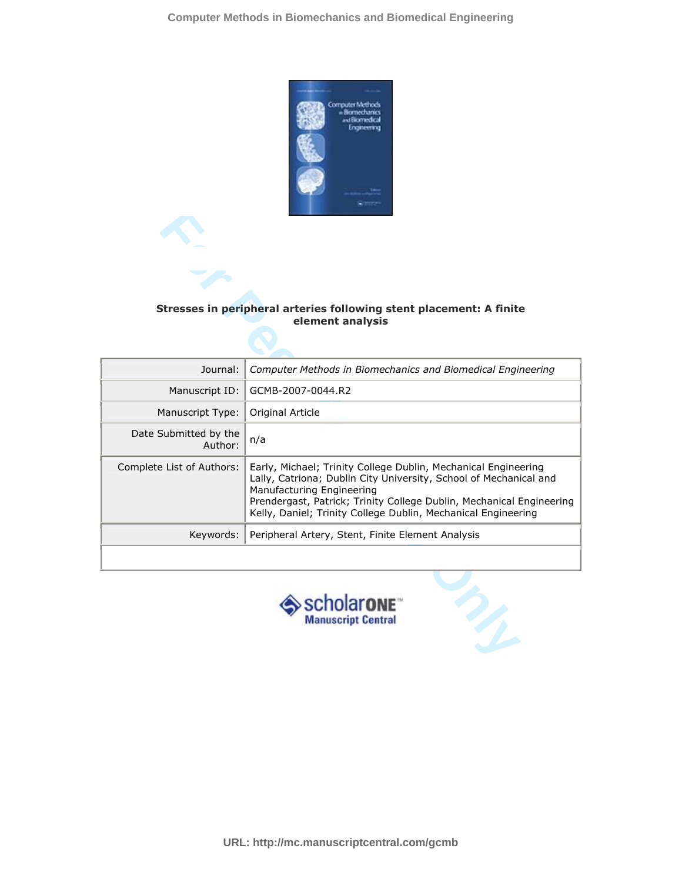

## **Stresses in peripheral arteries following stent placement: A finite element analysis**

|                                                      | Stresses in peripheral arteries following stent placement: A finite<br>element analysis                                                                                                                                                                                                                   |
|------------------------------------------------------|-----------------------------------------------------------------------------------------------------------------------------------------------------------------------------------------------------------------------------------------------------------------------------------------------------------|
| Journal:                                             | Computer Methods in Biomechanics and Biomedical Engineering                                                                                                                                                                                                                                               |
| Manuscript ID:                                       | GCMB-2007-0044.R2                                                                                                                                                                                                                                                                                         |
| Manuscript Type:                                     | Original Article                                                                                                                                                                                                                                                                                          |
| Date Submitted by the<br>Author:                     | n/a                                                                                                                                                                                                                                                                                                       |
| Complete List of Authors:                            | Early, Michael; Trinity College Dublin, Mechanical Engineering<br>Lally, Catriona; Dublin City University, School of Mechanical and<br>Manufacturing Engineering<br>Prendergast, Patrick; Trinity College Dublin, Mechanical Engineering<br>Kelly, Daniel; Trinity College Dublin, Mechanical Engineering |
| Keywords:                                            | Peripheral Artery, Stent, Finite Element Analysis                                                                                                                                                                                                                                                         |
|                                                      |                                                                                                                                                                                                                                                                                                           |
| scholarone <sup>®</sup><br><b>Manuscript Central</b> |                                                                                                                                                                                                                                                                                                           |



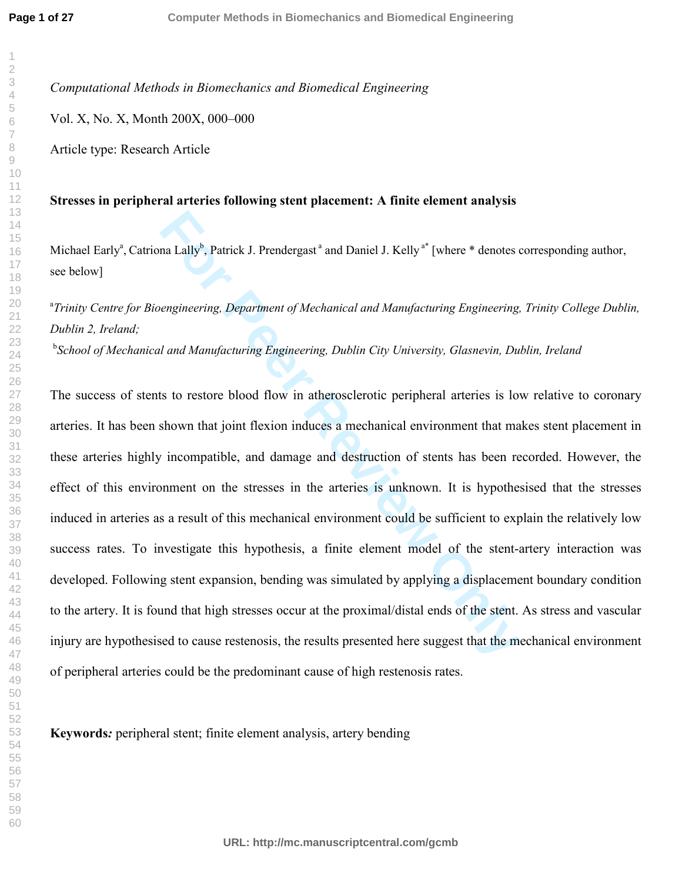*Computational Methods in Biomechanics and Biomedical Engineering* Vol. X, No. X, Month 200X, 000–000

Article type: Research Article

**Stresses in peripheral arteries following stent placement: A finite element analysis** 

Michael Early<sup>a</sup>, Catriona Lally<sup>b</sup>, Patrick J. Prendergast<sup>a</sup> and Daniel J. Kelly<sup>a\*</sup> [where \* denotes corresponding author, see below]

<sup>a</sup>Trinity Centre for Bioengineering, Department of Mechanical and Manufacturing Engineering, Trinity College Dublin, *Dublin 2, Ireland;* 

b *School of Mechanical and Manufacturing Engineering, Dublin City University, Glasnevin, Dublin, Ireland* 

Ina Lally<sup>b</sup>, Patrick J. Prendergast<sup>\*</sup> and Daniel J. Kelly<sup>\*</sup> [where \* denotes comparently, Department of Mechanical and Manufacturing Engineering, Dublin City University, Glasnevin, Du and Manufacturing Engineering, Dubl The success of stents to restore blood flow in atherosclerotic peripheral arteries is low relative to coronary arteries. It has been shown that joint flexion induces a mechanical environment that makes stent placement in these arteries highly incompatible, and damage and destruction of stents has been recorded. However, the effect of this environment on the stresses in the arteries is unknown. It is hypothesised that the stresses induced in arteries as a result of this mechanical environment could be sufficient to explain the relatively low success rates. To investigate this hypothesis, a finite element model of the stent-artery interaction was developed. Following stent expansion, bending was simulated by applying a displacement boundary condition to the artery. It is found that high stresses occur at the proximal/distal ends of the stent. As stress and vascular injury are hypothesised to cause restenosis, the results presented here suggest that the mechanical environment of peripheral arteries could be the predominant cause of high restenosis rates.

**Keywords***:* peripheral stent; finite element analysis, artery bending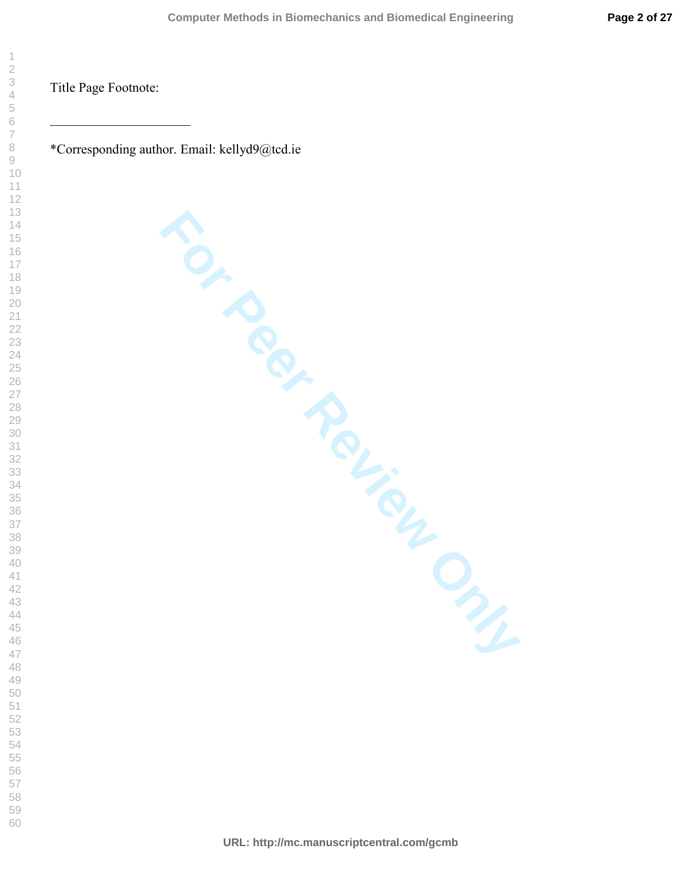Title Page Footnote:

 $\mathcal{L}_\text{max}$  , where  $\mathcal{L}_\text{max}$  , we have the set of  $\mathcal{L}_\text{max}$ 

\*Corresponding author. Email: kellyd9@tcd.ie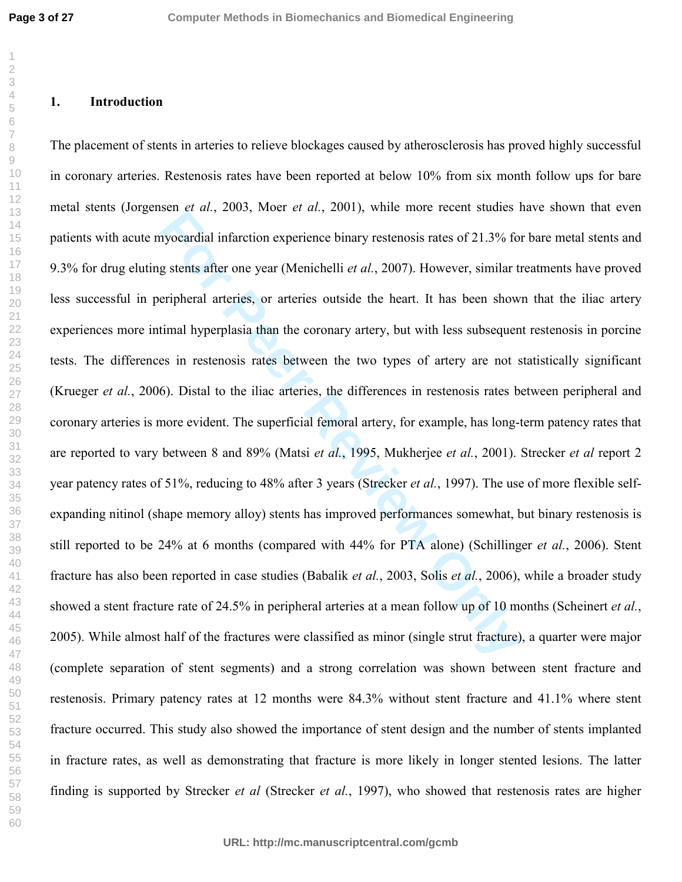## **1. Introduction**

Experimental infaction experience binary restenosis rates of 21.3% for g stents after one year (Menichelli *et al.*, 2007). However, similar teripheral arteries, or arteries outside the heart. It has been show timal hyperp The placement of stents in arteries to relieve blockages caused by atherosclerosis has proved highly successful in coronary arteries. Restenosis rates have been reported at below 10% from six month follow ups for bare metal stents (Jorgensen *et al.*, 2003, Moer *et al.*, 2001), while more recent studies have shown that even patients with acute myocardial infarction experience binary restenosis rates of 21.3% for bare metal stents and 9.3% for drug eluting stents after one year (Menichelli *et al.*, 2007). However, similar treatments have proved less successful in peripheral arteries, or arteries outside the heart. It has been shown that the iliac artery experiences more intimal hyperplasia than the coronary artery, but with less subsequent restenosis in porcine tests. The differences in restenosis rates between the two types of artery are not statistically significant (Krueger *et al.*, 2006). Distal to the iliac arteries, the differences in restenosis rates between peripheral and coronary arteries is more evident. The superficial femoral artery, for example, has long-term patency rates that are reported to vary between 8 and 89% (Matsi *et al.*, 1995, Mukherjee *et al.*, 2001). Strecker *et al* report 2 year patency rates of 51%, reducing to 48% after 3 years (Strecker *et al.*, 1997). The use of more flexible selfexpanding nitinol (shape memory alloy) stents has improved performances somewhat, but binary restenosis is still reported to be 24% at 6 months (compared with 44% for PTA alone) (Schillinger *et al.*, 2006). Stent fracture has also been reported in case studies (Babalik *et al.*, 2003, Solis *et al.*, 2006), while a broader study showed a stent fracture rate of 24.5% in peripheral arteries at a mean follow up of 10 months (Scheinert *et al.*, 2005). While almost half of the fractures were classified as minor (single strut fracture), a quarter were major (complete separation of stent segments) and a strong correlation was shown between stent fracture and restenosis. Primary patency rates at 12 months were 84.3% without stent fracture and 41.1% where stent fracture occurred. This study also showed the importance of stent design and the number of stents implanted in fracture rates, as well as demonstrating that fracture is more likely in longer stented lesions. The latter finding is supported by Strecker *et al* (Strecker *et al.*, 1997), who showed that restenosis rates are higher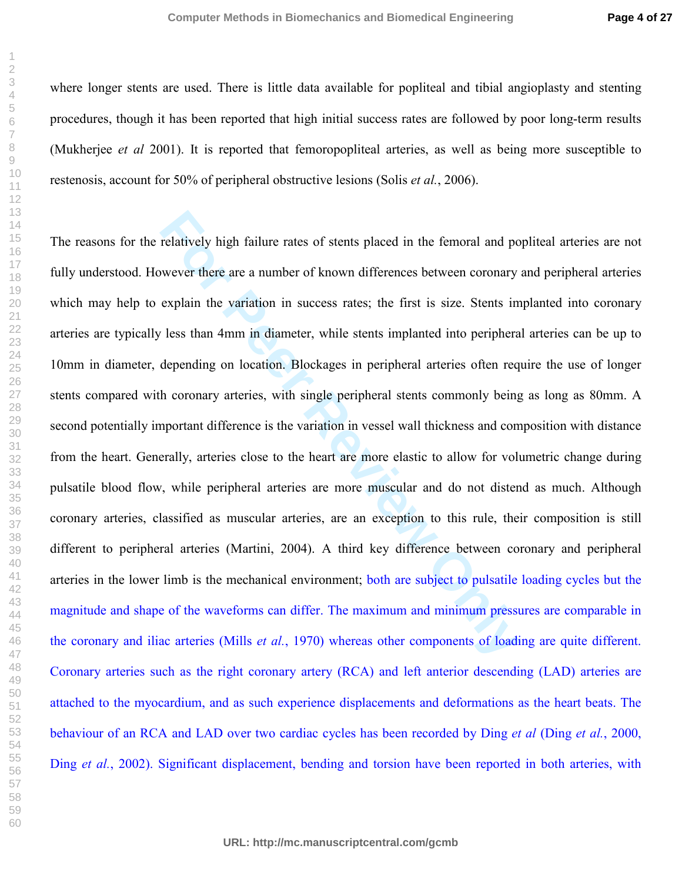where longer stents are used. There is little data available for popliteal and tibial angioplasty and stenting procedures, though it has been reported that high initial success rates are followed by poor long-term results (Mukherjee *et al* 2001). It is reported that femoropopliteal arteries, as well as being more susceptible to restenosis, account for 50% of peripheral obstructive lesions (Solis *et al.*, 2006).

relatively high failure rates of stents placed in the femoral and po<br>wever there are a number of known differences between coronary<br>explain the variation in success rates; the first is size. Stents im<br>less than 4mm in diam The reasons for the relatively high failure rates of stents placed in the femoral and popliteal arteries are not fully understood. However there are a number of known differences between coronary and peripheral arteries which may help to explain the variation in success rates; the first is size. Stents implanted into coronary arteries are typically less than 4mm in diameter, while stents implanted into peripheral arteries can be up to 10mm in diameter, depending on location. Blockages in peripheral arteries often require the use of longer stents compared with coronary arteries, with single peripheral stents commonly being as long as 80mm. A second potentially important difference is the variation in vessel wall thickness and composition with distance from the heart. Generally, arteries close to the heart are more elastic to allow for volumetric change during pulsatile blood flow, while peripheral arteries are more muscular and do not distend as much. Although coronary arteries, classified as muscular arteries, are an exception to this rule, their composition is still different to peripheral arteries (Martini, 2004). A third key difference between coronary and peripheral arteries in the lower limb is the mechanical environment; both are subject to pulsatile loading cycles but the magnitude and shape of the waveforms can differ. The maximum and minimum pressures are comparable in the coronary and iliac arteries (Mills *et al.*, 1970) whereas other components of loading are quite different. Coronary arteries such as the right coronary artery (RCA) and left anterior descending (LAD) arteries are attached to the myocardium, and as such experience displacements and deformations as the heart beats. The behaviour of an RCA and LAD over two cardiac cycles has been recorded by Ding *et al* (Ding *et al.*, 2000, Ding *et al.*, 2002). Significant displacement, bending and torsion have been reported in both arteries, with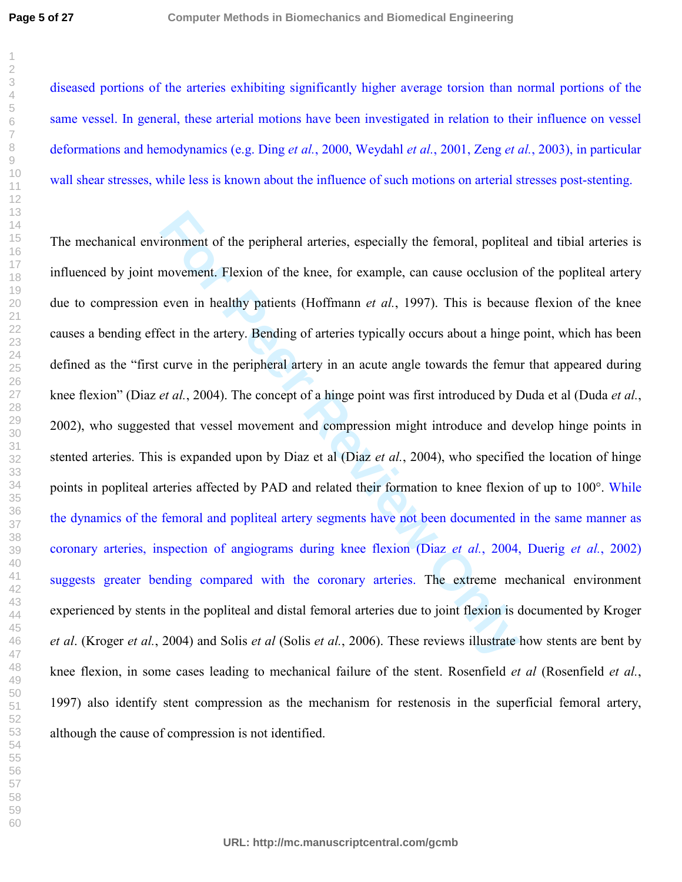**Page 5 of 27**

diseased portions of the arteries exhibiting significantly higher average torsion than normal portions of the same vessel. In general, these arterial motions have been investigated in relation to their influence on vessel deformations and hemodynamics (e.g. Ding *et al.*, 2000, Weydahl *et al.*, 2001, Zeng *et al.*, 2003), in particular wall shear stresses, while less is known about the influence of such motions on arterial stresses post-stenting.

ironment of the peripheral arteries, especially the femoral, poplites<br>movement. Flexion of the knee, for example, can cause occlusion<br>even in healthy patients (Hoffmann *et al.*, 1997). This is because<br>ect in the artery. The mechanical environment of the peripheral arteries, especially the femoral, popliteal and tibial arteries is influenced by joint movement. Flexion of the knee, for example, can cause occlusion of the popliteal artery due to compression even in healthy patients (Hoffmann *et al.*, 1997). This is because flexion of the knee causes a bending effect in the artery. Bending of arteries typically occurs about a hinge point, which has been defined as the "first curve in the peripheral artery in an acute angle towards the femur that appeared during knee flexion" (Diaz *et al.*, 2004). The concept of a hinge point was first introduced by Duda et al (Duda *et al.*, 2002), who suggested that vessel movement and compression might introduce and develop hinge points in stented arteries. This is expanded upon by Diaz et al (Diaz *et al.*, 2004), who specified the location of hinge points in popliteal arteries affected by PAD and related their formation to knee flexion of up to 100°. While the dynamics of the femoral and popliteal artery segments have not been documented in the same manner as coronary arteries, inspection of angiograms during knee flexion (Diaz *et al.*, 2004, Duerig *et al.*, 2002) suggests greater bending compared with the coronary arteries. The extreme mechanical environment experienced by stents in the popliteal and distal femoral arteries due to joint flexion is documented by Kroger *et al*. (Kroger *et al.*, 2004) and Solis *et al* (Solis *et al.*, 2006). These reviews illustrate how stents are bent by knee flexion, in some cases leading to mechanical failure of the stent. Rosenfield *et al* (Rosenfield *et al.*, 1997) also identify stent compression as the mechanism for restenosis in the superficial femoral artery, although the cause of compression is not identified.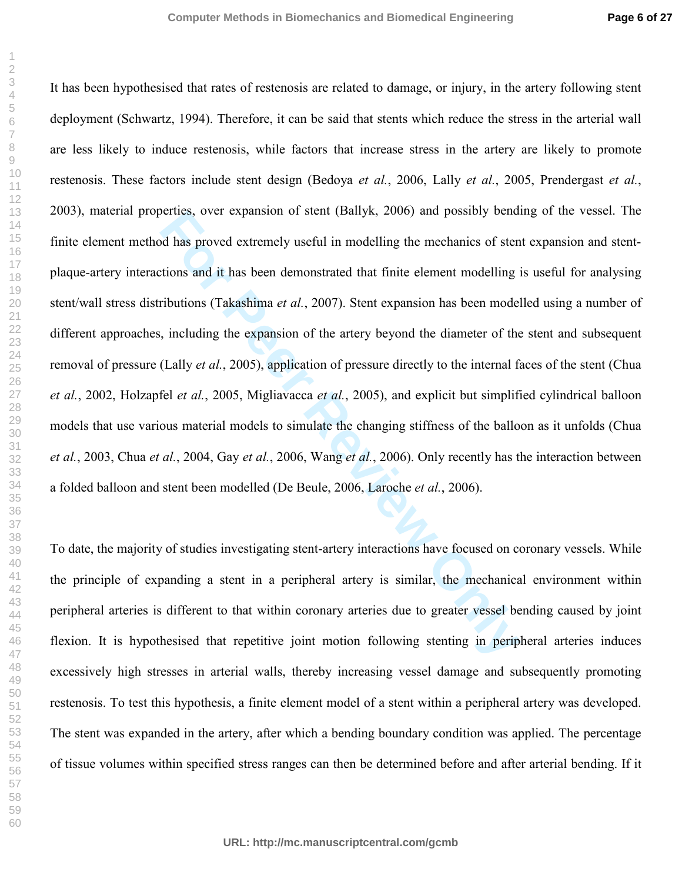betties, over expansion of stent (Bailyk, 2006) and possibly bend<br>ad has proved extremely useful in modelling the mechanics of stent<br>tions and it has been demonstrated that finite element modelling i<br>ributions (Takashima It has been hypothesised that rates of restenosis are related to damage, or injury, in the artery following stent deployment (Schwartz, 1994). Therefore, it can be said that stents which reduce the stress in the arterial wall are less likely to induce restenosis, while factors that increase stress in the artery are likely to promote restenosis. These factors include stent design (Bedoya *et al.*, 2006, Lally *et al.*, 2005, Prendergast *et al.*, 2003), material properties, over expansion of stent (Ballyk, 2006) and possibly bending of the vessel. The finite element method has proved extremely useful in modelling the mechanics of stent expansion and stentplaque-artery interactions and it has been demonstrated that finite element modelling is useful for analysing stent/wall stress distributions (Takashima *et al.*, 2007). Stent expansion has been modelled using a number of different approaches, including the expansion of the artery beyond the diameter of the stent and subsequent removal of pressure (Lally *et al.*, 2005), application of pressure directly to the internal faces of the stent (Chua *et al.*, 2002, Holzapfel *et al.*, 2005, Migliavacca *et al.*, 2005), and explicit but simplified cylindrical balloon models that use various material models to simulate the changing stiffness of the balloon as it unfolds (Chua *et al.*, 2003, Chua *et al.*, 2004, Gay *et al.*, 2006, Wang *et al.*, 2006). Only recently has the interaction between a folded balloon and stent been modelled (De Beule, 2006, Laroche *et al.*, 2006).

To date, the majority of studies investigating stent-artery interactions have focused on coronary vessels. While the principle of expanding a stent in a peripheral artery is similar, the mechanical environment within peripheral arteries is different to that within coronary arteries due to greater vessel bending caused by joint flexion. It is hypothesised that repetitive joint motion following stenting in peripheral arteries induces excessively high stresses in arterial walls, thereby increasing vessel damage and subsequently promoting restenosis. To test this hypothesis, a finite element model of a stent within a peripheral artery was developed. The stent was expanded in the artery, after which a bending boundary condition was applied. The percentage of tissue volumes within specified stress ranges can then be determined before and after arterial bending. If it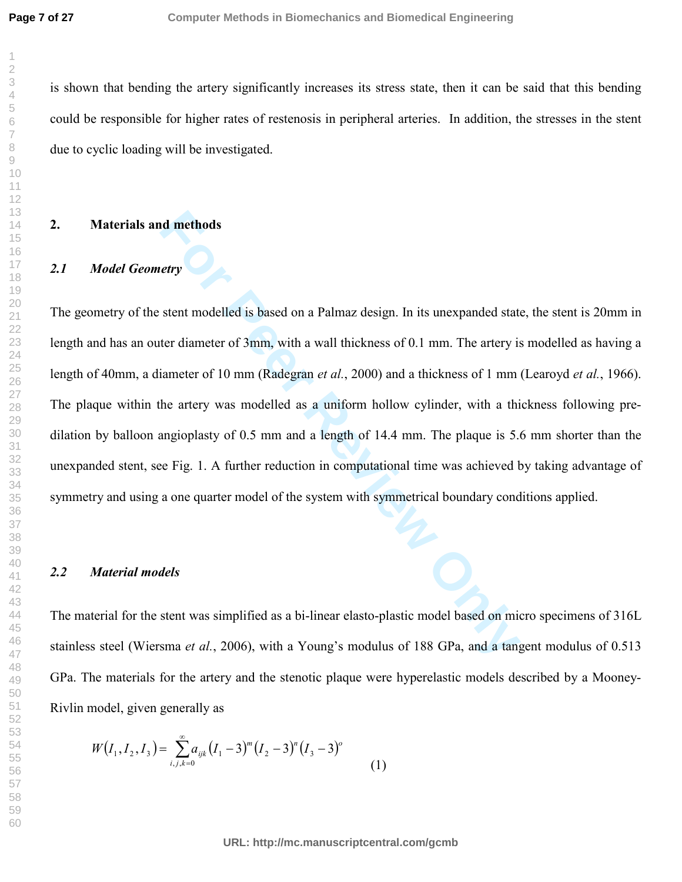is shown that bending the artery significantly increases its stress state, then it can be said that this bending could be responsible for higher rates of restenosis in peripheral arteries. In addition, the stresses in the stent due to cyclic loading will be investigated.

#### **2. Materials and methods**

# *2.1 Model Geometry*

**For Exercise 2018**<br>**For Perry**<br>**For Formal State State Exercise 2019**<br>**For Formal State Exercise 2019**<br>**For Formal State Exercise 2019**<br>**For Formal State Exercise 3019**<br>**For Formal State Exercise 31**<br>**For Perry Was modell** The geometry of the stent modelled is based on a Palmaz design. In its unexpanded state, the stent is 20mm in length and has an outer diameter of 3mm, with a wall thickness of 0.1 mm. The artery is modelled as having a length of 40mm, a diameter of 10 mm (Radegran *et al.*, 2000) and a thickness of 1 mm (Learoyd *et al.*, 1966). The plaque within the artery was modelled as a uniform hollow cylinder, with a thickness following predilation by balloon angioplasty of 0.5 mm and a length of 14.4 mm. The plaque is 5.6 mm shorter than the unexpanded stent, see Fig. 1. A further reduction in computational time was achieved by taking advantage of symmetry and using a one quarter model of the system with symmetrical boundary conditions applied.

# *2.2 Material models*

The material for the stent was simplified as a bi-linear elasto-plastic model based on micro specimens of 316L stainless steel (Wiersma *et al.*, 2006), with a Young's modulus of 188 GPa, and a tangent modulus of 0.513 GPa. The materials for the artery and the stenotic plaque were hyperelastic models described by a Mooney-Rivlin model, given generally as

$$
W(I_1, I_2, I_3) = \sum_{i,j,k=0}^{\infty} a_{ijk} (I_1 - 3)^m (I_2 - 3)^n (I_3 - 3)^0
$$
\n(1)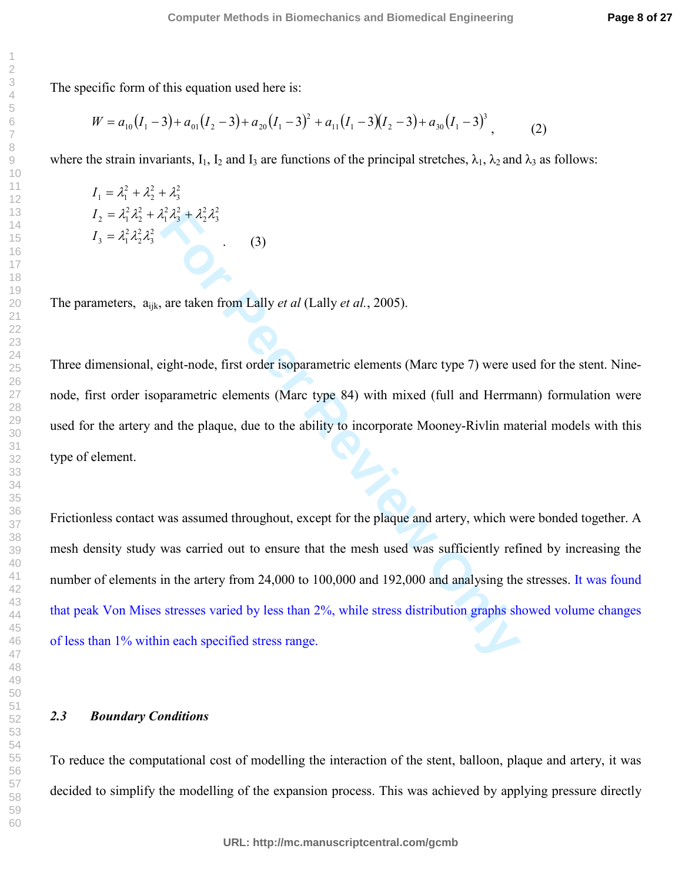The specific form of this equation used here is:

$$
W = a_{10}(I_1 - 3) + a_{01}(I_2 - 3) + a_{20}(I_1 - 3)^2 + a_{11}(I_1 - 3)(I_2 - 3) + a_{30}(I_1 - 3)^3,
$$
 (2)

where the strain invariants,  $I_1$ ,  $I_2$  and  $I_3$  are functions of the principal stretches,  $\lambda_1$ ,  $\lambda_2$  and  $\lambda_3$  as follows:

$$
I_1 = \lambda_1^2 + \lambda_2^2 + \lambda_3^2
$$
  
\n
$$
I_2 = \lambda_1^2 \lambda_2^2 + \lambda_1^2 \lambda_3^2 + \lambda_2^2 \lambda_3^2
$$
  
\n
$$
I_3 = \lambda_1^2 \lambda_2^2 \lambda_3^2
$$
 (3)

The parameters,  $a_{ijk}$ , are taken from Lally *et al* (Lally *et al.*, 2005).

Three dimensional, eight-node, first order isoparametric elements (Marc type 7) were used for the stent. Ninenode, first order isoparametric elements (Marc type 84) with mixed (full and Herrmann) formulation were used for the artery and the plaque, due to the ability to incorporate Mooney-Rivlin material models with this type of element.

(3)<br>are taken from Lally *et al* (Lally *et al.*, 2005).<br><br>eight-node, first order isoparametric elements (Marc type 7) were us<br>parametric elements (Marc type 84) with mixed (full and Herrmand the plaque, due to the abilit Frictionless contact was assumed throughout, except for the plaque and artery, which were bonded together. A mesh density study was carried out to ensure that the mesh used was sufficiently refined by increasing the number of elements in the artery from 24,000 to 100,000 and 192,000 and analysing the stresses. It was found that peak Von Mises stresses varied by less than 2%, while stress distribution graphs showed volume changes of less than 1% within each specified stress range.

## *2.3 Boundary Conditions*

To reduce the computational cost of modelling the interaction of the stent, balloon, plaque and artery, it was decided to simplify the modelling of the expansion process. This was achieved by applying pressure directly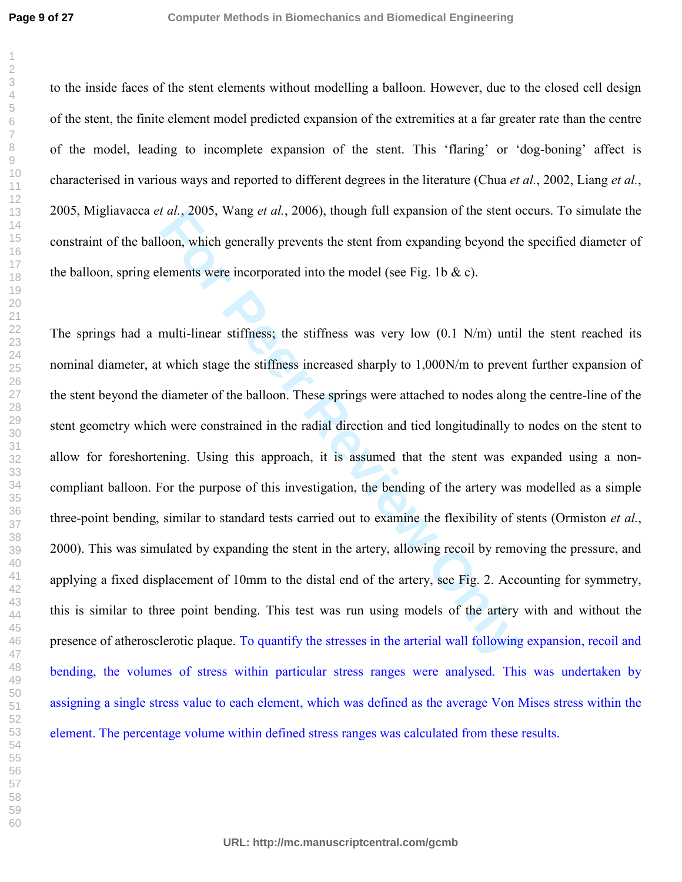**Page 9 of 27**

to the inside faces of the stent elements without modelling a balloon. However, due to the closed cell design of the stent, the finite element model predicted expansion of the extremities at a far greater rate than the centre of the model, leading to incomplete expansion of the stent. This 'flaring' or 'dog-boning' affect is characterised in various ways and reported to different degrees in the literature (Chua *et al.*, 2002, Liang *et al.*, 2005, Migliavacca *et al.*, 2005, Wang *et al.*, 2006), though full expansion of the stent occurs. To simulate the constraint of the balloon, which generally prevents the stent from expanding beyond the specified diameter of the balloon, spring elements were incorporated into the model (see Fig. 1b  $\&c$ ).

*Fal.*, 2005, wang *et al.*, 2006), though run expansion or the stent to<br>boon, which generally prevents the stent from expanding beyond the<br>lements were incorporated into the model (see Fig. 1b & c).<br>multi-linear stiffness The springs had a multi-linear stiffness; the stiffness was very low (0.1 N/m) until the stent reached its nominal diameter, at which stage the stiffness increased sharply to 1,000N/m to prevent further expansion of the stent beyond the diameter of the balloon. These springs were attached to nodes along the centre-line of the stent geometry which were constrained in the radial direction and tied longitudinally to nodes on the stent to allow for foreshortening. Using this approach, it is assumed that the stent was expanded using a noncompliant balloon. For the purpose of this investigation, the bending of the artery was modelled as a simple three-point bending, similar to standard tests carried out to examine the flexibility of stents (Ormiston *et al.*, 2000). This was simulated by expanding the stent in the artery, allowing recoil by removing the pressure, and applying a fixed displacement of 10mm to the distal end of the artery, see Fig. 2. Accounting for symmetry, this is similar to three point bending. This test was run using models of the artery with and without the presence of atherosclerotic plaque. To quantify the stresses in the arterial wall following expansion, recoil and bending, the volumes of stress within particular stress ranges were analysed. This was undertaken by assigning a single stress value to each element, which was defined as the average Von Mises stress within the element. The percentage volume within defined stress ranges was calculated from these results.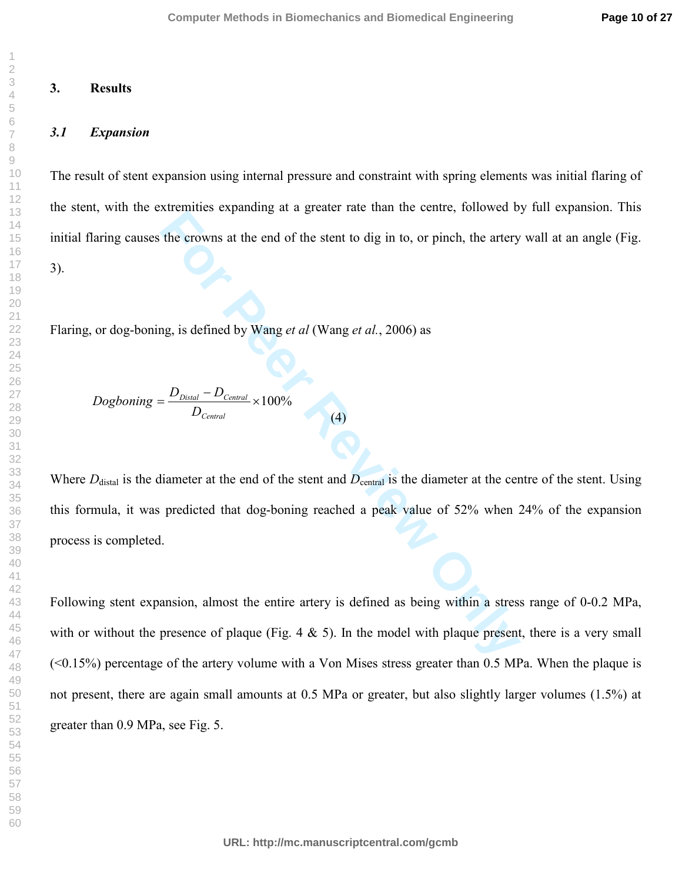## **3. Results**

### *3.1 Expansion*

The result of stent expansion using internal pressure and constraint with spring elements was initial flaring of the stent, with the extremities expanding at a greater rate than the centre, followed by full expansion. This initial flaring causes the crowns at the end of the stent to dig in to, or pinch, the artery wall at an angle (Fig.

3).

Flaring, or dog-boning, is defined by Wang *et al* (Wang *et al.*, 2006) as

$$
Dogboning = \frac{D_{Distal} - D_{Central}}{D_{Central}} \times 100\%
$$
\n(4)

the crowns at the end of the stent to dig in to, or pinch, the artery<br>the crowns at the end of the stent to dig in to, or pinch, the artery<br>mag, is defined by Wang *et al* (Wang *et al.*, 2006) as<br> $\frac{D_{D_{\text{thermal}}} - D_{\text{Cermoul}}}{$ Where  $D_{\text{distal}}$  is the diameter at the end of the stent and  $D_{\text{central}}$  is the diameter at the centre of the stent. Using this formula, it was predicted that dog-boning reached a peak value of 52% when 24% of the expansion process is completed.

Following stent expansion, almost the entire artery is defined as being within a stress range of 0-0.2 MPa, with or without the presence of plaque (Fig. 4  $\&$  5). In the model with plaque present, there is a very small  $( $0.15\%$ ) percentage of the artery volume with a Von Mises stress greater than 0.5 MPa. When the plaque is$ not present, there are again small amounts at 0.5 MPa or greater, but also slightly larger volumes (1.5%) at greater than 0.9 MPa, see Fig. 5.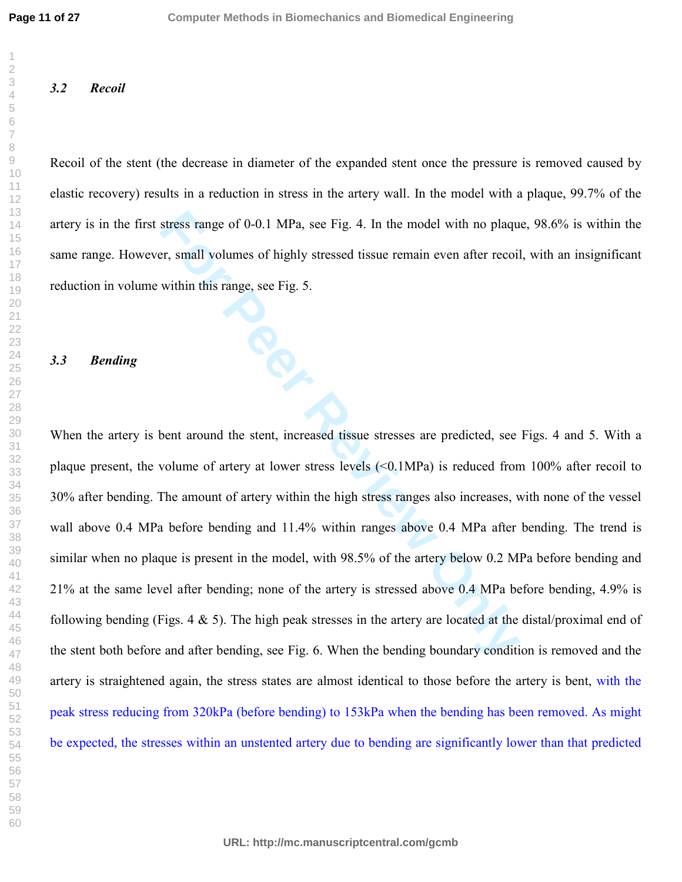# *3.2 Recoil*

Recoil of the stent (the decrease in diameter of the expanded stent once the pressure is removed caused by elastic recovery) results in a reduction in stress in the artery wall. In the model with a plaque, 99.7% of the artery is in the first stress range of 0-0.1 MPa, see Fig. 4. In the model with no plaque, 98.6% is within the same range. However, small volumes of highly stressed tissue remain even after recoil, with an insignificant reduction in volume within this range, see Fig. 5.

## *3.3 Bending*

stress range of 0-0.1 MPa, see Fig. 4. In the model with no plaquer, small volumes of highly stressed tissue remain even after recoil<br>within this range, see Fig. 5.<br>When this range, see Fig. 5.<br>When the stead of the stead When the artery is bent around the stent, increased tissue stresses are predicted, see Figs. 4 and 5. With a plaque present, the volume of artery at lower stress levels (<0.1MPa) is reduced from 100% after recoil to 30% after bending. The amount of artery within the high stress ranges also increases, with none of the vessel wall above 0.4 MPa before bending and 11.4% within ranges above 0.4 MPa after bending. The trend is similar when no plaque is present in the model, with 98.5% of the artery below 0.2 MPa before bending and 21% at the same level after bending; none of the artery is stressed above 0.4 MPa before bending, 4.9% is following bending (Figs. 4  $\&$  5). The high peak stresses in the artery are located at the distal/proximal end of the stent both before and after bending, see Fig. 6. When the bending boundary condition is removed and the artery is straightened again, the stress states are almost identical to those before the artery is bent, with the peak stress reducing from 320kPa (before bending) to 153kPa when the bending has been removed. As might be expected, the stresses within an unstented artery due to bending are significantly lower than that predicted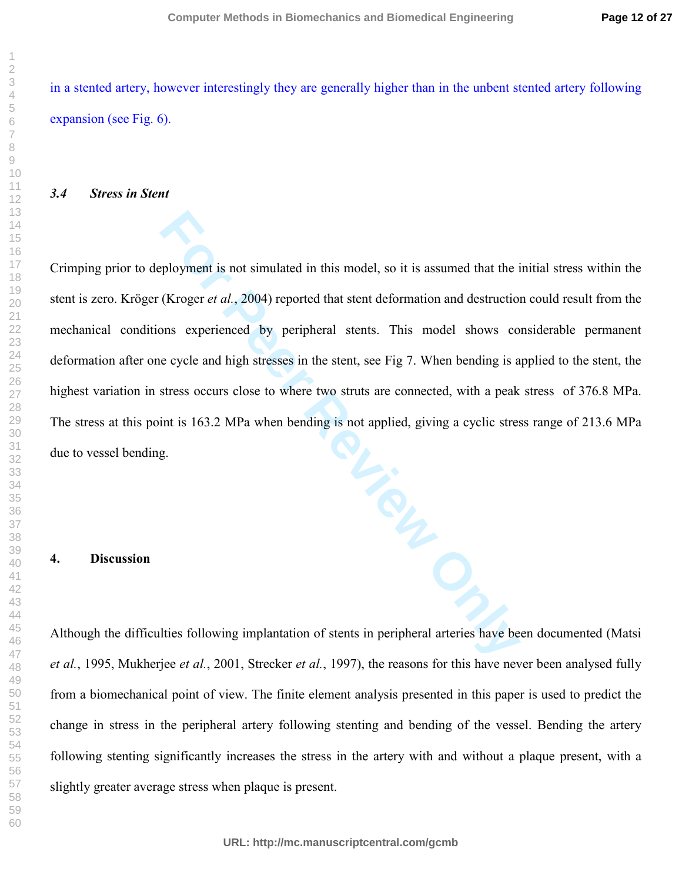in a stented artery, however interestingly they are generally higher than in the unbent stented artery following expansion (see Fig. 6).

#### *3.4 Stress in Stent*

Crimping prior to deployment is not simulated in this model, so it is assumed that the initial stress within the stent is zero. Kröger (Kroger *et al.*, 2004) reported that stent deformation and destruction could result from the mechanical conditions experienced by peripheral stents. This model shows considerable permanent deformation after one cycle and high stresses in the stent, see Fig 7. When bending is applied to the stent, the highest variation in stress occurs close to where two struts are connected, with a peak stress of 376.8 MPa. The stress at this point is 163.2 MPa when bending is not applied, giving a cyclic stress range of 213.6 MPa due to vessel bending.

## **4. Discussion**

Although the difficulties following implantation of stents in peripheral arteries have been documented (Matsi *et al.*, 1995, Mukherjee *et al.*, 2001, Strecker *et al.*, 1997), the reasons for this have never been analysed fully from a biomechanical point of view. The finite element analysis presented in this paper is used to predict the change in stress in the peripheral artery following stenting and bending of the vessel. Bending the artery following stenting significantly increases the stress in the artery with and without a plaque present, with a slightly greater average stress when plaque is present.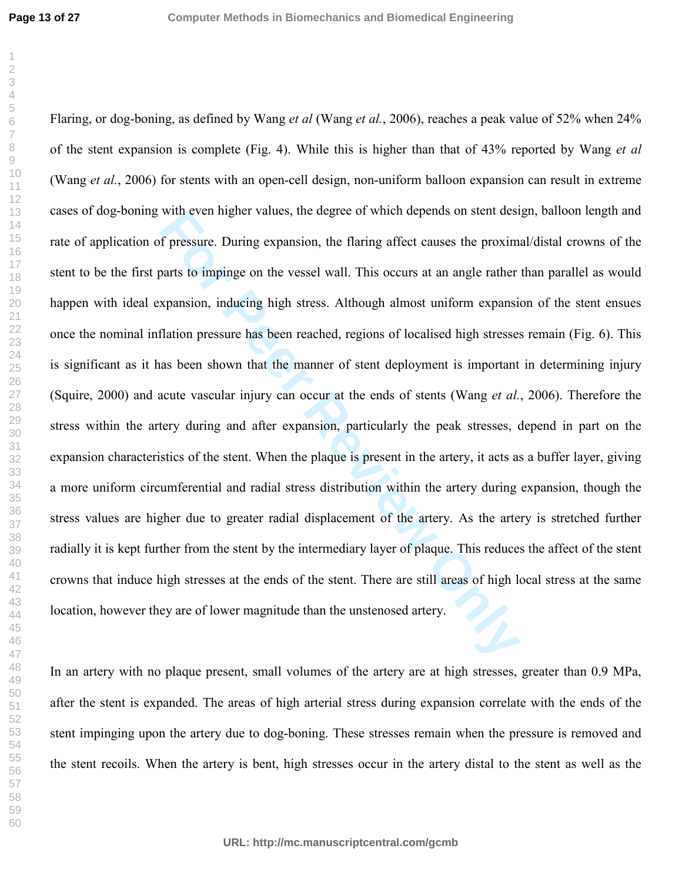with even ingner values, the degree of which depends on stent dest<br>f pressure. During expansion, the flaring affect causes the proxim-<br>parts to impinge on the vessel wall. This occurs at an angle rather<br>xpansion, inducing Flaring, or dog-boning, as defined by Wang *et al* (Wang *et al.*, 2006), reaches a peak value of 52% when 24% of the stent expansion is complete (Fig. 4). While this is higher than that of 43% reported by Wang *et al* (Wang *et al.*, 2006) for stents with an open-cell design, non-uniform balloon expansion can result in extreme cases of dog-boning with even higher values, the degree of which depends on stent design, balloon length and rate of application of pressure. During expansion, the flaring affect causes the proximal/distal crowns of the stent to be the first parts to impinge on the vessel wall. This occurs at an angle rather than parallel as would happen with ideal expansion, inducing high stress. Although almost uniform expansion of the stent ensues once the nominal inflation pressure has been reached, regions of localised high stresses remain (Fig. 6). This is significant as it has been shown that the manner of stent deployment is important in determining injury (Squire, 2000) and acute vascular injury can occur at the ends of stents (Wang *et al.*, 2006). Therefore the stress within the artery during and after expansion, particularly the peak stresses, depend in part on the expansion characteristics of the stent. When the plaque is present in the artery, it acts as a buffer layer, giving a more uniform circumferential and radial stress distribution within the artery during expansion, though the stress values are higher due to greater radial displacement of the artery. As the artery is stretched further radially it is kept further from the stent by the intermediary layer of plaque. This reduces the affect of the stent crowns that induce high stresses at the ends of the stent. There are still areas of high local stress at the same location, however they are of lower magnitude than the unstenosed artery.

In an artery with no plaque present, small volumes of the artery are at high stresses, greater than 0.9 MPa, after the stent is expanded. The areas of high arterial stress during expansion correlate with the ends of the stent impinging upon the artery due to dog-boning. These stresses remain when the pressure is removed and the stent recoils. When the artery is bent, high stresses occur in the artery distal to the stent as well as the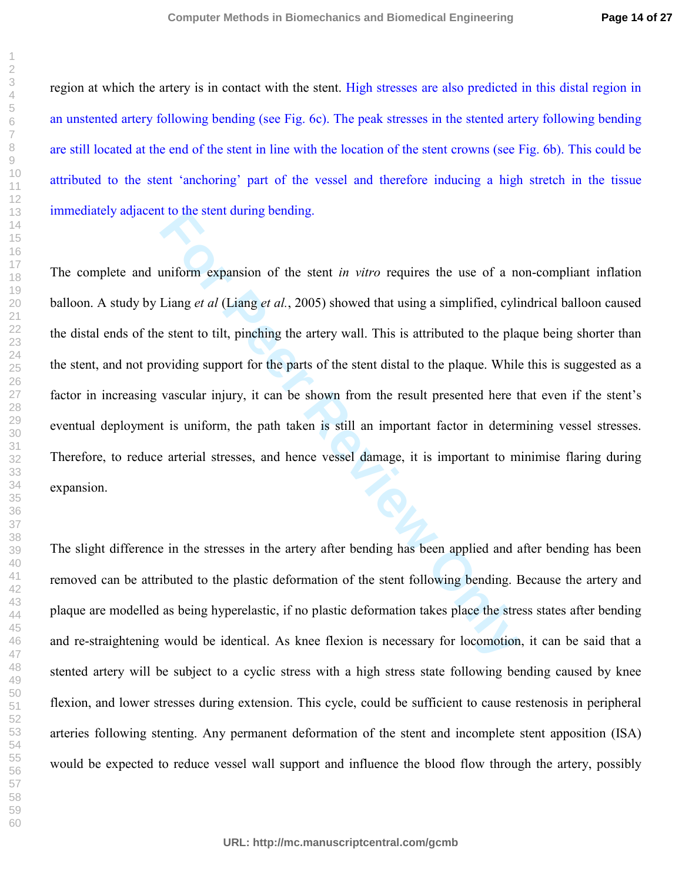region at which the artery is in contact with the stent. High stresses are also predicted in this distal region in an unstented artery following bending (see Fig. 6c). The peak stresses in the stented artery following bending are still located at the end of the stent in line with the location of the stent crowns (see Fig. 6b). This could be attributed to the stent 'anchoring' part of the vessel and therefore inducing a high stretch in the tissue immediately adjacent to the stent during bending.

inform expansion of the stent *in vitro* requires the use of a not<br>Liang *et al* (Liang *et al.*, 2005) showed that using a simplified, cyli<br>e stent to tilt, pinching the artery wall. This is attributed to the plate<br>ovidin The complete and uniform expansion of the stent *in vitro* requires the use of a non-compliant inflation balloon. A study by Liang *et al* (Liang *et al.*, 2005) showed that using a simplified, cylindrical balloon caused the distal ends of the stent to tilt, pinching the artery wall. This is attributed to the plaque being shorter than the stent, and not providing support for the parts of the stent distal to the plaque. While this is suggested as a factor in increasing vascular injury, it can be shown from the result presented here that even if the stent's eventual deployment is uniform, the path taken is still an important factor in determining vessel stresses. Therefore, to reduce arterial stresses, and hence vessel damage, it is important to minimise flaring during expansion.

The slight difference in the stresses in the artery after bending has been applied and after bending has been removed can be attributed to the plastic deformation of the stent following bending. Because the artery and plaque are modelled as being hyperelastic, if no plastic deformation takes place the stress states after bending and re-straightening would be identical. As knee flexion is necessary for locomotion, it can be said that a stented artery will be subject to a cyclic stress with a high stress state following bending caused by knee flexion, and lower stresses during extension. This cycle, could be sufficient to cause restenosis in peripheral arteries following stenting. Any permanent deformation of the stent and incomplete stent apposition (ISA) would be expected to reduce vessel wall support and influence the blood flow through the artery, possibly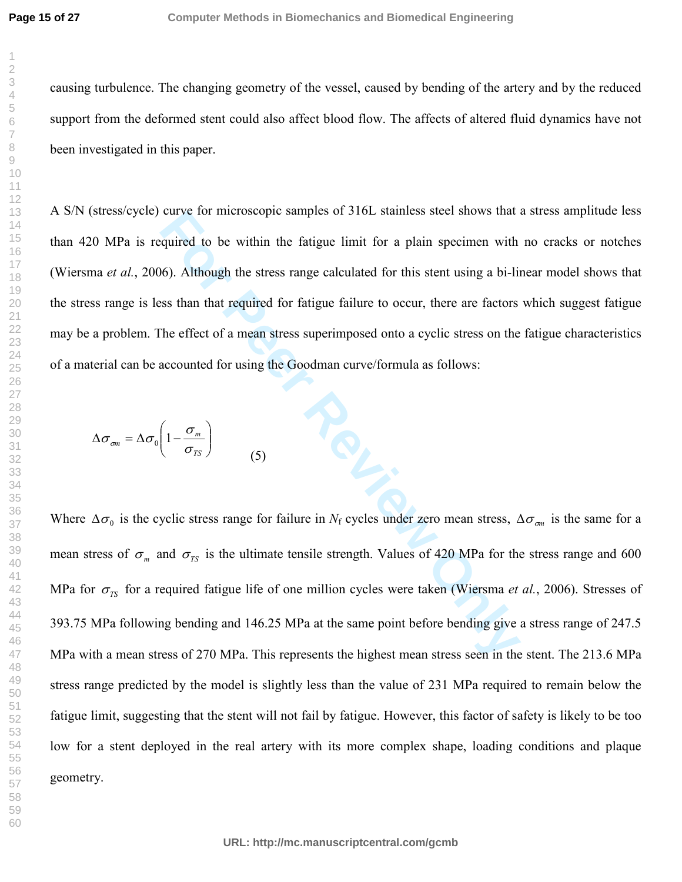causing turbulence. The changing geometry of the vessel, caused by bending of the artery and by the reduced support from the deformed stent could also affect blood flow. The affects of altered fluid dynamics have not been investigated in this paper.

curve for microscopic samples of 316L stainess steel shows that a<br>quired to be within the fatigue limit for a plain specimen with<br>6). Although the stress range calculated for this stent using a bi-lin<br>ses than that requir A S/N (stress/cycle) curve for microscopic samples of 316L stainless steel shows that a stress amplitude less than 420 MPa is required to be within the fatigue limit for a plain specimen with no cracks or notches (Wiersma *et al.*, 2006). Although the stress range calculated for this stent using a bi-linear model shows that the stress range is less than that required for fatigue failure to occur, there are factors which suggest fatigue may be a problem. The effect of a mean stress superimposed onto a cyclic stress on the fatigue characteristics of a material can be accounted for using the Goodman curve/formula as follows:

$$
\Delta \sigma_{\sigma m} = \Delta \sigma_0 \left( 1 - \frac{\sigma_m}{\sigma_{TS}} \right)
$$

(5)

Where  $\Delta \sigma_0$  is the cyclic stress range for failure in *N<sub>f</sub>* cycles under zero mean stress,  $\Delta \sigma_{\sigma m}$  is the same for a mean stress of  $\sigma_m$  and  $\sigma_{TS}$  is the ultimate tensile strength. Values of 420 MPa for the stress range and 600 MPa for  $\sigma_{TS}$  for a required fatigue life of one million cycles were taken (Wiersma et al., 2006). Stresses of 393.75 MPa following bending and 146.25 MPa at the same point before bending give a stress range of 247.5 MPa with a mean stress of 270 MPa. This represents the highest mean stress seen in the stent. The 213.6 MPa stress range predicted by the model is slightly less than the value of 231 MPa required to remain below the fatigue limit, suggesting that the stent will not fail by fatigue. However, this factor of safety is likely to be too low for a stent deployed in the real artery with its more complex shape, loading conditions and plaque geometry.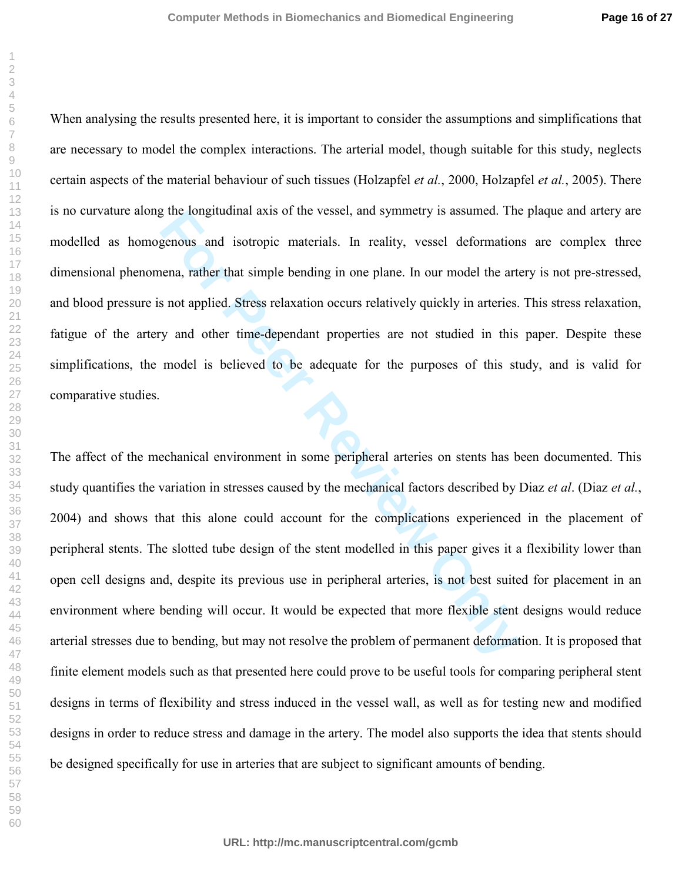> When analysing the results presented here, it is important to consider the assumptions and simplifications that are necessary to model the complex interactions. The arterial model, though suitable for this study, neglects certain aspects of the material behaviour of such tissues (Holzapfel *et al.*, 2000, Holzapfel *et al.*, 2005). There is no curvature along the longitudinal axis of the vessel, and symmetry is assumed. The plaque and artery are modelled as homogenous and isotropic materials. In reality, vessel deformations are complex three dimensional phenomena, rather that simple bending in one plane. In our model the artery is not pre-stressed, and blood pressure is not applied. Stress relaxation occurs relatively quickly in arteries. This stress relaxation, fatigue of the artery and other time-dependant properties are not studied in this paper. Despite these simplifications, the model is believed to be adequate for the purposes of this study, and is valid for comparative studies.

> Ine longitualizat axis of the vessel, and symmetry is assumed. The<br>genous and isotropic materials. In reality, vessel deformation<br>hena, rather that simple bending in one plane. In our model the arte<br>s not applied. Stress r The affect of the mechanical environment in some peripheral arteries on stents has been documented. This study quantifies the variation in stresses caused by the mechanical factors described by Diaz *et al*. (Diaz *et al.*, 2004) and shows that this alone could account for the complications experienced in the placement of peripheral stents. The slotted tube design of the stent modelled in this paper gives it a flexibility lower than open cell designs and, despite its previous use in peripheral arteries, is not best suited for placement in an environment where bending will occur. It would be expected that more flexible stent designs would reduce arterial stresses due to bending, but may not resolve the problem of permanent deformation. It is proposed that finite element models such as that presented here could prove to be useful tools for comparing peripheral stent designs in terms of flexibility and stress induced in the vessel wall, as well as for testing new and modified designs in order to reduce stress and damage in the artery. The model also supports the idea that stents should be designed specifically for use in arteries that are subject to significant amounts of bending.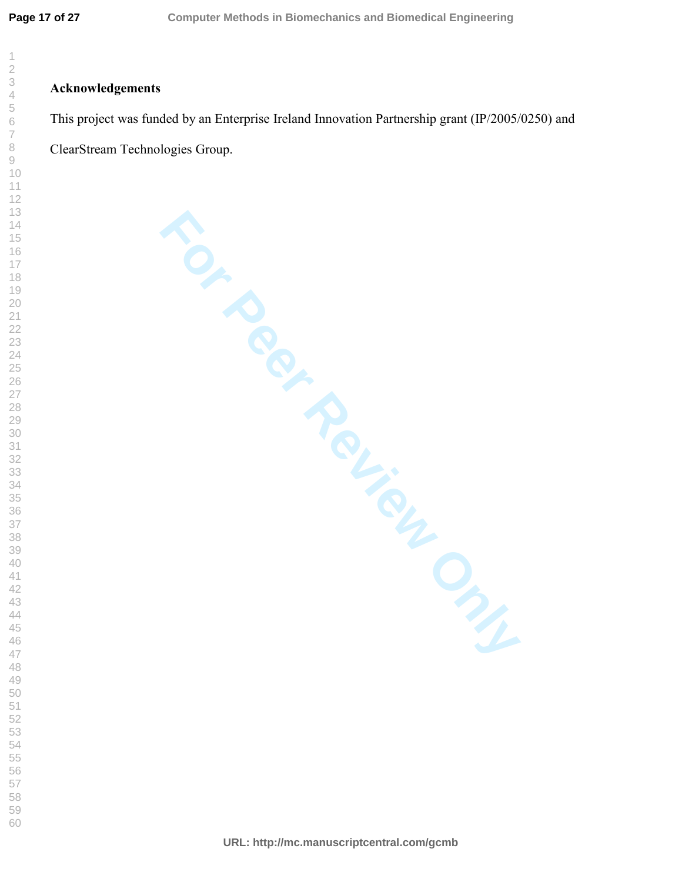#### 

# **Acknowledgements**

This project was funded by an Enterprise Ireland Innovation Partnership grant (IP/2005/0250) and

**FOI Peer Review Only** ClearStream Technologies Group.

**URL: http://mc.manuscriptcentral.com/gcmb**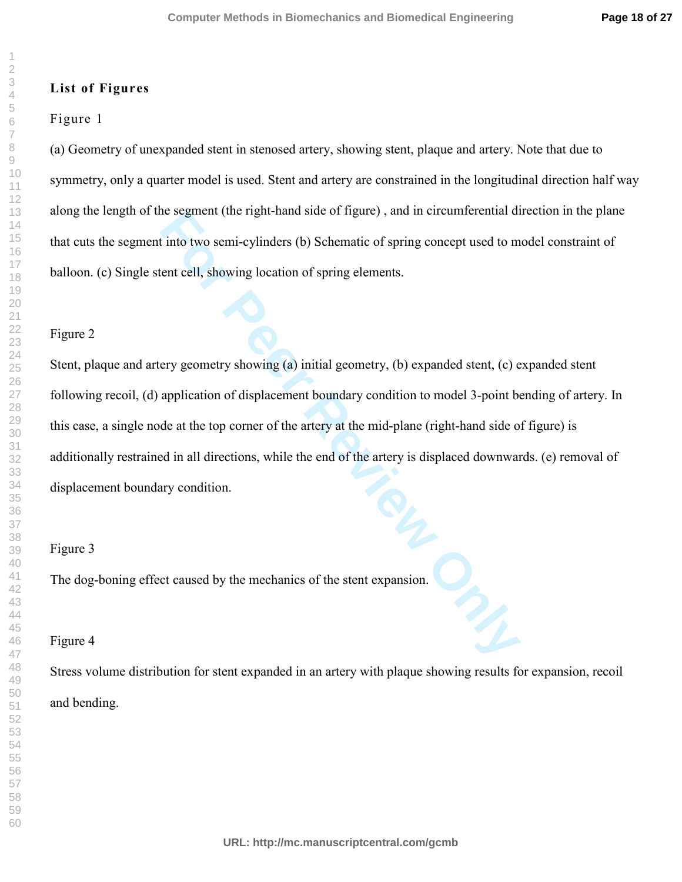# **List of Figures**

# Figure 1

(a) Geometry of unexpanded stent in stenosed artery, showing stent, plaque and artery. Note that due to symmetry, only a quarter model is used. Stent and artery are constrained in the longitudinal direction half way along the length of the segment (the right-hand side of figure) , and in circumferential direction in the plane that cuts the segment into two semi-cylinders (b) Schematic of spring concept used to model constraint of balloon. (c) Single stent cell, showing location of spring elements.

# Figure 2

**For Perronnial Standard Standard Standard Standard Standard Standard Exercise Standard Exercise Standard Exercise Standard Standard Standard Standard Standard Standard Standard Standard Standard Standard Standard Standard** Stent, plaque and artery geometry showing (a) initial geometry, (b) expanded stent, (c) expanded stent following recoil, (d) application of displacement boundary condition to model 3-point bending of artery. In this case, a single node at the top corner of the artery at the mid-plane (right-hand side of figure) is additionally restrained in all directions, while the end of the artery is displaced downwards. (e) removal of displacement boundary condition.

# Figure 3

The dog-boning effect caused by the mechanics of the stent expansion.

# Figure 4

Stress volume distribution for stent expanded in an artery with plaque showing results for expansion, recoil and bending.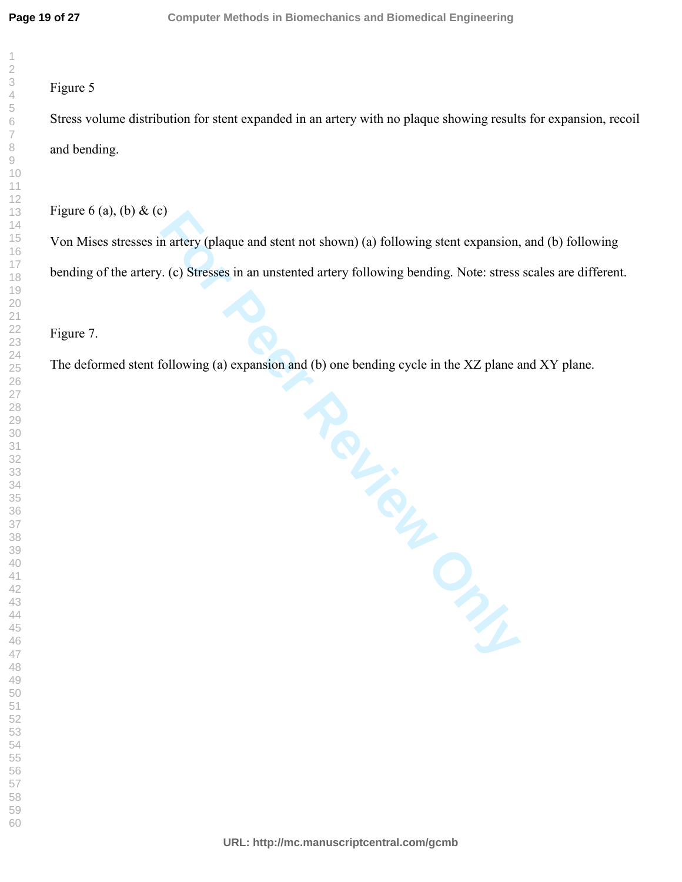# Figure 5

Stress volume distribution for stent expanded in an artery with no plaque showing results for expansion, recoil and bending.

Figure 6 (a), (b)  $\&$  (c)

Von Mises stresses in artery (plaque and stent not shown) (a) following stent expansion, and (b) following bending of the artery. (c) Stresses in an unstented artery following bending. Note: stress scales are different.

Figure 7.

The deformed stent following (a) expansion and (b) one bending cycle in the XZ plane and XY plane.

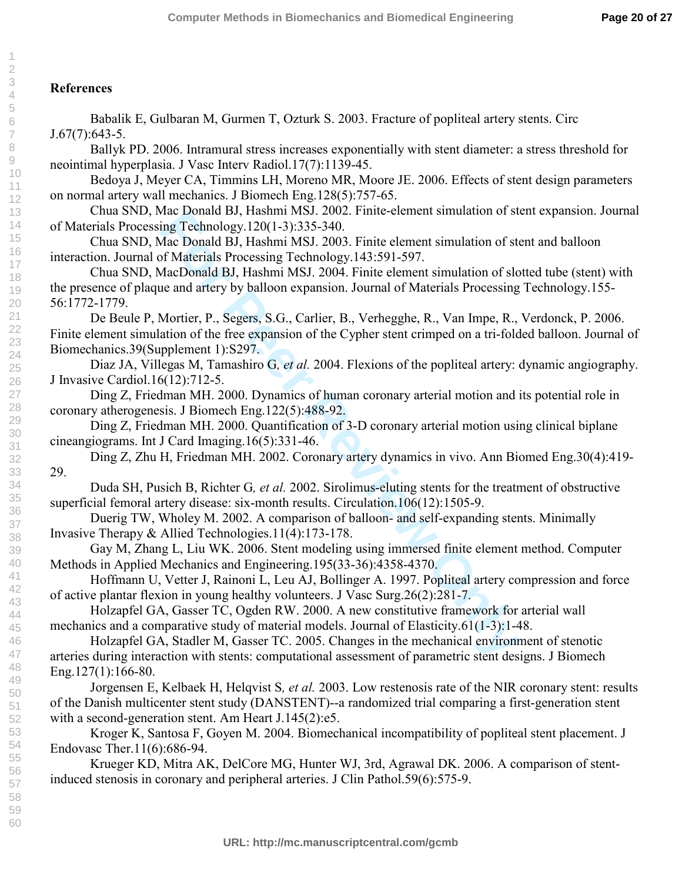# **References**

1

Babalik E, Gulbaran M, Gurmen T, Ozturk S. 2003. Fracture of popliteal artery stents. Circ J.67(7):643-5.

 Ballyk PD. 2006. Intramural stress increases exponentially with stent diameter: a stress threshold for neointimal hyperplasia. J Vasc Interv Radiol.17(7):1139-45.

 Bedoya J, Meyer CA, Timmins LH, Moreno MR, Moore JE. 2006. Effects of stent design parameters on normal artery wall mechanics. J Biomech Eng.128(5):757-65.

 Chua SND, Mac Donald BJ, Hashmi MSJ. 2002. Finite-element simulation of stent expansion. Journal of Materials Processing Technology.120(1-3):335-340.

 Chua SND, Mac Donald BJ, Hashmi MSJ. 2003. Finite element simulation of stent and balloon interaction. Journal of Materials Processing Technology.143:591-597.

 Chua SND, MacDonald BJ, Hashmi MSJ. 2004. Finite element simulation of slotted tube (stent) with the presence of plaque and artery by balloon expansion. Journal of Materials Processing Technology.155- 56:1772-1779.

and BJ, riashmin MsJ, 2002. Timte-element simulation of sto<br>ing Technology, 120(1-3):335-340.<br>Aac Donald BJ, Hashmi MSJ, 2003. Finite element simulation of sto<br>for MateDonald BJ, Hashmi MSJ, 2003. Finite element simulation De Beule P, Mortier, P., Segers, S.G., Carlier, B., Verhegghe, R., Van Impe, R., Verdonck, P. 2006. Finite element simulation of the free expansion of the Cypher stent crimped on a tri-folded balloon. Journal of Biomechanics.39(Supplement 1):S297.

 Diaz JA, Villegas M, Tamashiro G*, et al.* 2004. Flexions of the popliteal artery: dynamic angiography. J Invasive Cardiol.16(12):712-5.

 Ding Z, Friedman MH. 2000. Dynamics of human coronary arterial motion and its potential role in coronary atherogenesis. J Biomech Eng.122(5):488-92.

 Ding Z, Friedman MH. 2000. Quantification of 3-D coronary arterial motion using clinical biplane cineangiograms. Int J Card Imaging.16(5):331-46.

 Ding Z, Zhu H, Friedman MH. 2002. Coronary artery dynamics in vivo. Ann Biomed Eng.30(4):419- 29.

 Duda SH, Pusich B, Richter G*, et al.* 2002. Sirolimus-eluting stents for the treatment of obstructive superficial femoral artery disease: six-month results. Circulation.106(12):1505-9.

 Duerig TW, Wholey M. 2002. A comparison of balloon- and self-expanding stents. Minimally Invasive Therapy & Allied Technologies.11(4):173-178.

 Gay M, Zhang L, Liu WK. 2006. Stent modeling using immersed finite element method. Computer Methods in Applied Mechanics and Engineering.195(33-36):4358-4370.

 Hoffmann U, Vetter J, Rainoni L, Leu AJ, Bollinger A. 1997. Popliteal artery compression and force of active plantar flexion in young healthy volunteers. J Vasc Surg.26(2):281-7.

 Holzapfel GA, Gasser TC, Ogden RW. 2000. A new constitutive framework for arterial wall mechanics and a comparative study of material models. Journal of Elasticity.61(1-3):1-48.

 Holzapfel GA, Stadler M, Gasser TC. 2005. Changes in the mechanical environment of stenotic arteries during interaction with stents: computational assessment of parametric stent designs. J Biomech Eng.127(1):166-80.

 Jorgensen E, Kelbaek H, Helqvist S*, et al.* 2003. Low restenosis rate of the NIR coronary stent: results of the Danish multicenter stent study (DANSTENT)--a randomized trial comparing a first-generation stent with a second-generation stent. Am Heart J.145(2):e5.

 Kroger K, Santosa F, Goyen M. 2004. Biomechanical incompatibility of popliteal stent placement. J Endovasc Ther.11(6):686-94.

 Krueger KD, Mitra AK, DelCore MG, Hunter WJ, 3rd, Agrawal DK. 2006. A comparison of stentinduced stenosis in coronary and peripheral arteries. J Clin Pathol.59(6):575-9.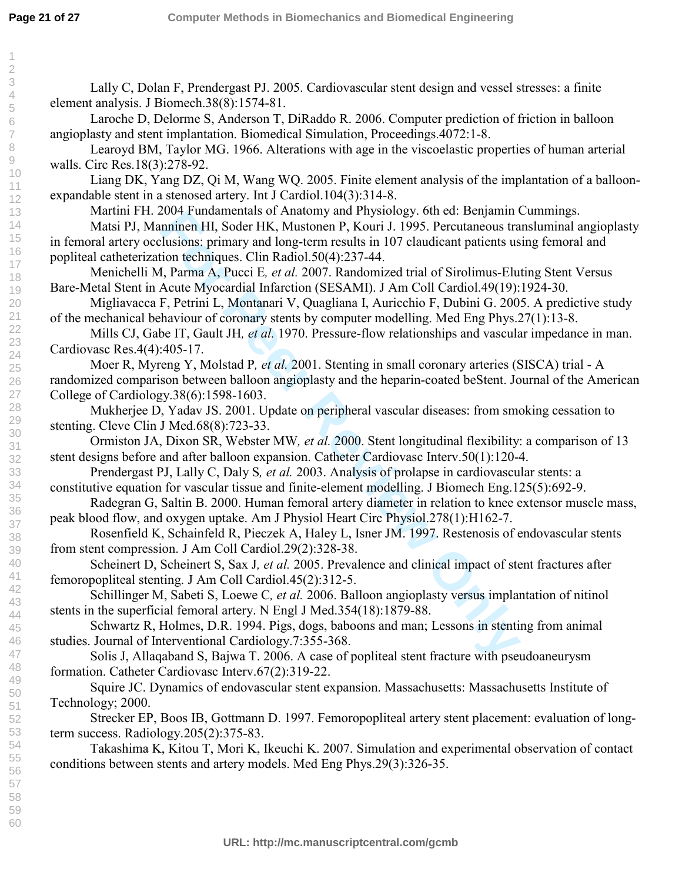2004 Funamentals of Anatomy and Physiology. One ac: Benjamin<br>
marinen HI, Soder HK, Mustonen P, Kouri J. 1995. Percutaneous tra<br>
tlusions: primary and long-term results in 107 claudicant patients us<br>
tlusions: primary and Lally C, Dolan F, Prendergast PJ. 2005. Cardiovascular stent design and vessel stresses: a finite element analysis. J Biomech.38(8):1574-81. Laroche D, Delorme S, Anderson T, DiRaddo R. 2006. Computer prediction of friction in balloon angioplasty and stent implantation. Biomedical Simulation, Proceedings.4072:1-8. Learoyd BM, Taylor MG. 1966. Alterations with age in the viscoelastic properties of human arterial walls. Circ Res.18(3):278-92. Liang DK, Yang DZ, Qi M, Wang WQ. 2005. Finite element analysis of the implantation of a balloonexpandable stent in a stenosed artery. Int J Cardiol.104(3):314-8. Martini FH. 2004 Fundamentals of Anatomy and Physiology. 6th ed: Benjamin Cummings. Matsi PJ, Manninen HI, Soder HK, Mustonen P, Kouri J. 1995. Percutaneous transluminal angioplasty in femoral artery occlusions: primary and long-term results in 107 claudicant patients using femoral and popliteal catheterization techniques. Clin Radiol.50(4):237-44. Menichelli M, Parma A, Pucci E*, et al.* 2007. Randomized trial of Sirolimus-Eluting Stent Versus Bare-Metal Stent in Acute Myocardial Infarction (SESAMI). J Am Coll Cardiol.49(19):1924-30. Migliavacca F, Petrini L, Montanari V, Quagliana I, Auricchio F, Dubini G. 2005. A predictive study of the mechanical behaviour of coronary stents by computer modelling. Med Eng Phys.27(1):13-8. Mills CJ, Gabe IT, Gault JH*, et al.* 1970. Pressure-flow relationships and vascular impedance in man. Cardiovasc Res.4(4):405-17. Moer R, Myreng Y, Molstad P*, et al.* 2001. Stenting in small coronary arteries (SISCA) trial - A randomized comparison between balloon angioplasty and the heparin-coated beStent. Journal of the American College of Cardiology.38(6):1598-1603. Mukherjee D, Yadav JS. 2001. Update on peripheral vascular diseases: from smoking cessation to stenting. Cleve Clin J Med.68(8):723-33. Ormiston JA, Dixon SR, Webster MW*, et al.* 2000. Stent longitudinal flexibility: a comparison of 13 stent designs before and after balloon expansion. Catheter Cardiovasc Interv.50(1):120-4. Prendergast PJ, Lally C, Daly S*, et al.* 2003. Analysis of prolapse in cardiovascular stents: a constitutive equation for vascular tissue and finite-element modelling. J Biomech Eng.125(5):692-9. Radegran G, Saltin B. 2000. Human femoral artery diameter in relation to knee extensor muscle mass, peak blood flow, and oxygen uptake. Am J Physiol Heart Circ Physiol.278(1):H162-7. Rosenfield K, Schainfeld R, Pieczek A, Haley L, Isner JM. 1997. Restenosis of endovascular stents from stent compression. J Am Coll Cardiol.29(2):328-38. Scheinert D, Scheinert S, Sax J*, et al.* 2005. Prevalence and clinical impact of stent fractures after femoropopliteal stenting. J Am Coll Cardiol.45(2):312-5. Schillinger M, Sabeti S, Loewe C*, et al.* 2006. Balloon angioplasty versus implantation of nitinol stents in the superficial femoral artery. N Engl J Med.354(18):1879-88. Schwartz R, Holmes, D.R. 1994. Pigs, dogs, baboons and man; Lessons in stenting from animal studies. Journal of Interventional Cardiology.7:355-368. Solis J, Allaqaband S, Bajwa T. 2006. A case of popliteal stent fracture with pseudoaneurysm formation. Catheter Cardiovasc Interv.67(2):319-22. Squire JC. Dynamics of endovascular stent expansion. Massachusetts: Massachusetts Institute of Technology; 2000. Strecker EP, Boos IB, Gottmann D. 1997. Femoropopliteal artery stent placement: evaluation of longterm success. Radiology.205(2):375-83. Takashima K, Kitou T, Mori K, Ikeuchi K. 2007. Simulation and experimental observation of contact conditions between stents and artery models. Med Eng Phys.29(3):326-35.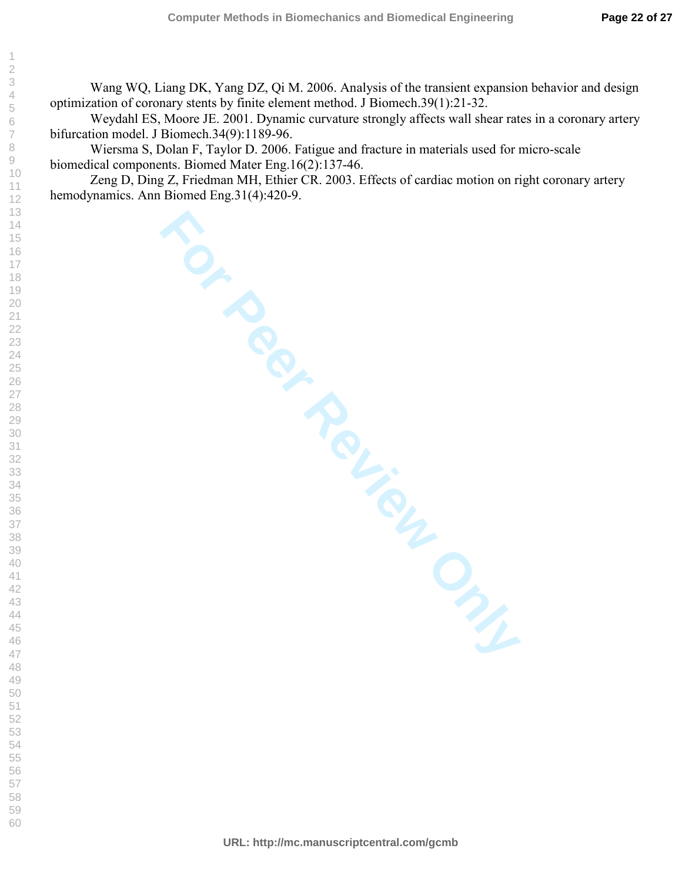Wang WQ, Liang DK, Yang DZ, Qi M. 2006. Analysis of the transient expansion behavior and design optimization of coronary stents by finite element method. J Biomech.39(1):21-32.

 Weydahl ES, Moore JE. 2001. Dynamic curvature strongly affects wall shear rates in a coronary artery bifurcation model. J Biomech.34(9):1189-96.

 Wiersma S, Dolan F, Taylor D. 2006. Fatigue and fracture in materials used for micro-scale biomedical components. Biomed Mater Eng.16(2):137-46.

**For Periew Only**  Zeng D, Ding Z, Friedman MH, Ethier CR. 2003. Effects of cardiac motion on right coronary artery hemodynamics. Ann Biomed Eng.31(4):420-9.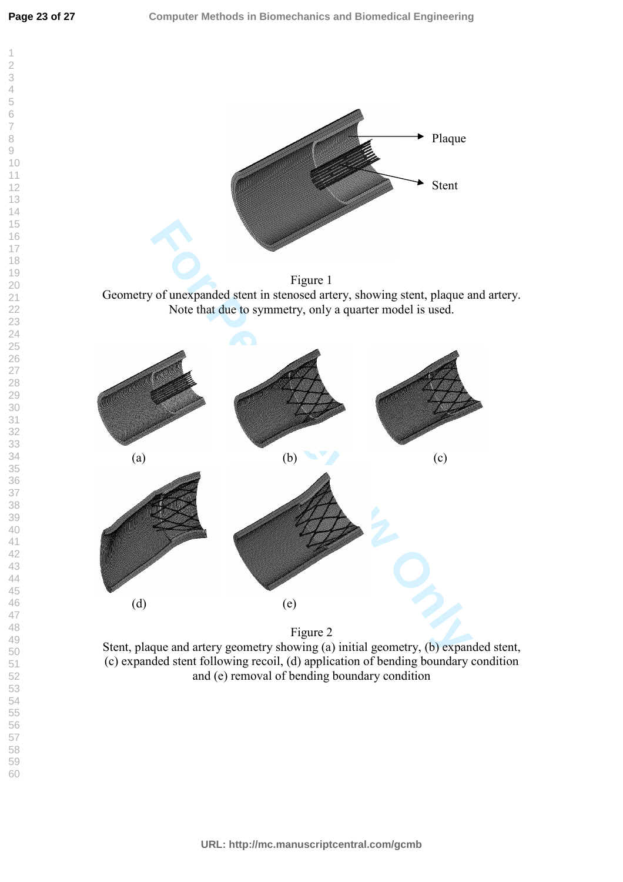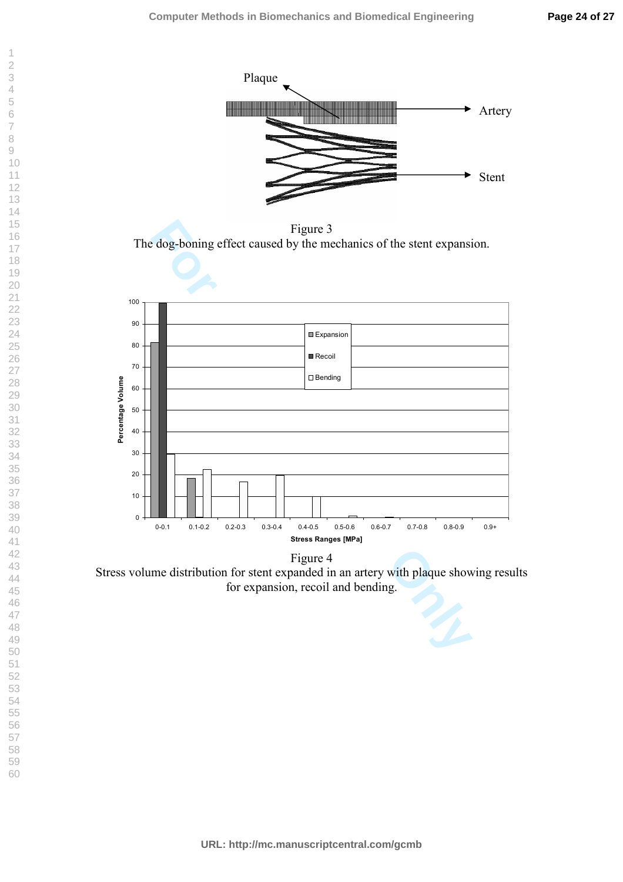

Figure 4 Stress volume distribution for stent expanded in an artery with plaque showing results for expansion, recoil and bending.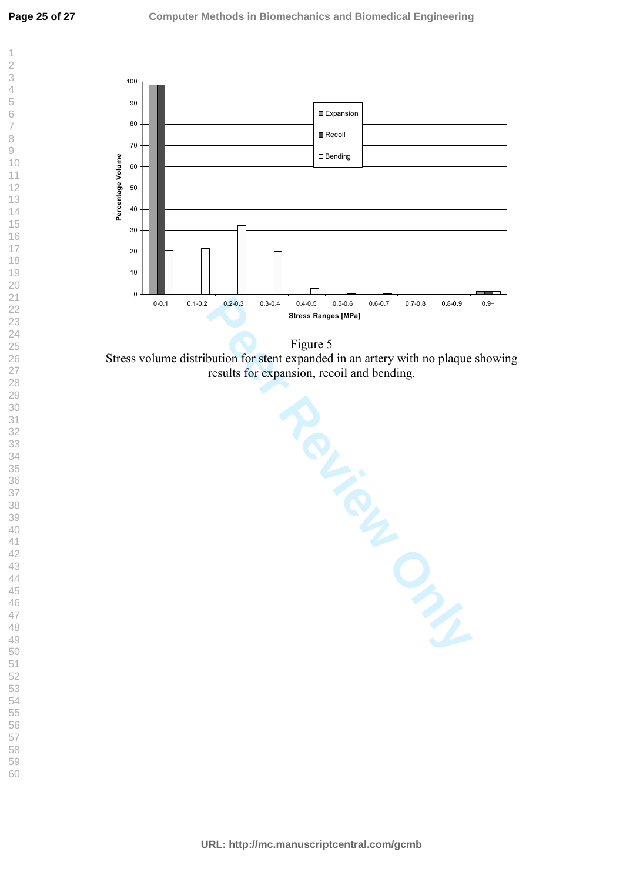



Stress volume distribution for stent expanded in an artery with no plaque showing results for expansion, recoil and bending.

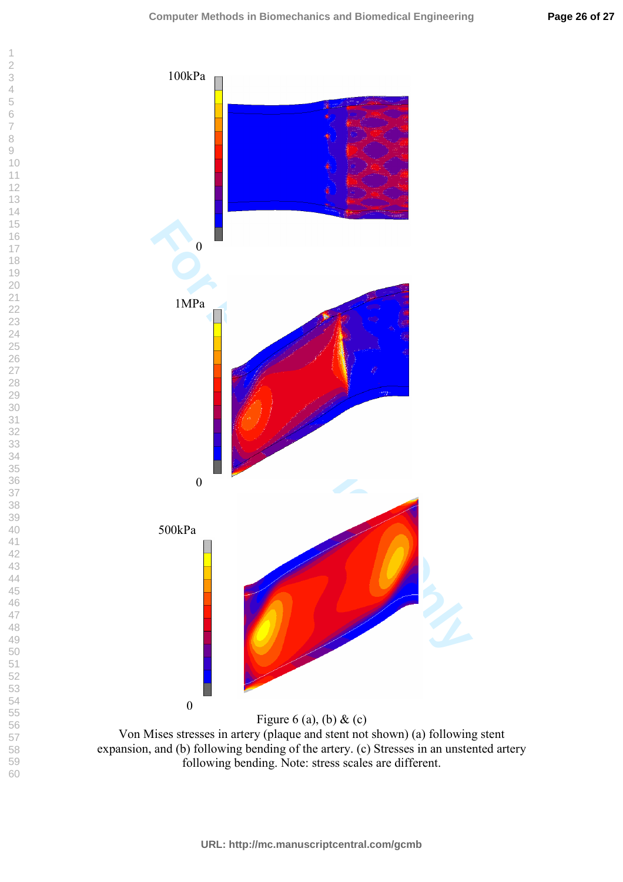

Von Mises stresses in artery (plaque and stent not shown) (a) following stent expansion, and (b) following bending of the artery. (c) Stresses in an unstented artery following bending. Note: stress scales are different.